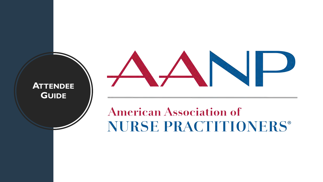**ATTENDEE GUIDE**

# 

## **American Association of NURSE PRACTITIONERS®**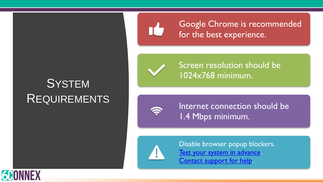## **SYSTEM** REQUIREMENTS



Google Chrome is recommended for the best experience.



Screen resolution should be 1024x768 minimum.



Internet connection should be 1.4 Mbps minimum.



Disable browser popup blockers. [Test your system in advance.](https://aanp.6connex.com/event/live/system-check) [Contact support for help.](https://www.surveygizmo.com/s3/4892872/6Connex-AANP-2019-VC-Support-Form)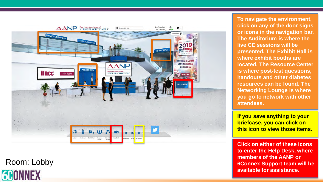

Room: Lobby



**To navigate the environment, click on any of the door signs or icons in the navigation bar. The Auditorium is where the live CE sessions will be presented. The Exhibit Hall is where exhibit booths are located. The Resource Center is where post -test questions, handouts and other diabetes resources can be found. The Networking Lounge is where you go to network with other attendees.**

**If you save anything to your briefcase, you can click on this icon to view those items.**

**Click on either of these icons to enter the Help Desk, where members of the AANP or 6Connex Support team will be available for assistance.**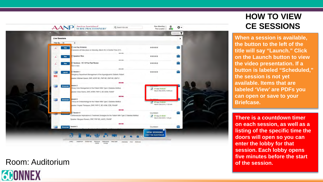

Room: Auditorium

### **GEONNEX**

#### **HOW TO VIEW CE SESSIONS**

**When a session is available, the button to the left of the title will say "Launch." Click on the Launch button to view the video presentation. If a button is labeled "Scheduled," the session is not yet available. Items that are labeled 'View' are PDFs you can open or save to your Briefcase.**

**There is a countdown timer on each session, as well as a listing of the specific time the doors will open so you can enter the lobby for that session. Each lobby opens five minutes before the start of the session.**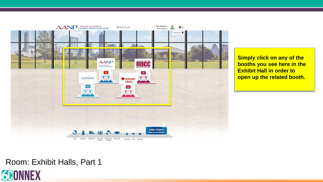

**Simply click on any of the booths you see here in the Exhibit Hall in order to open up the related booth.**

#### Room: Exhibit Halls, Part 1

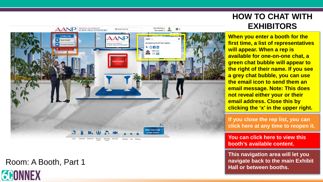

Room: A Booth, Part 1



#### **HOW TO CHAT WITH EXHIBITORS**

**When you enter a booth for the first time, a list of representatives will appear. When a rep is available for one -on -one chat, a green chat bubble will appear to the right of their name. If you see a grey chat bubble, you can use the email icon to send them an email message. Note: This does not reveal either your or their email address. Close this by clicking the 'x' in the upper right.**

**If you close the rep list, you can click here at any time to reopen it.**

**You can click here to view this booth's available content.**

**This navigation area will let you navigate back to the main Exhibit Hall or between booths.**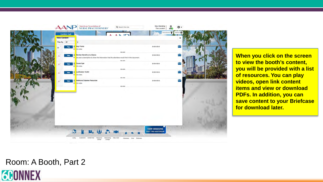

**When you click on the screen to view the booth's content, you will be provided with a list of resources. You can play videos, open link content items and view or download PDFs. In addition, you can save content to your Briefcase for download later.**

#### Room: A Booth, Part 2

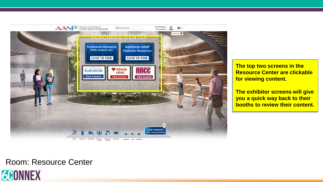

**The top two screens in the Resource Center are clickable for viewing content.**

**The exhibitor screens will give you a quick way back to their booths to review their content.**

#### Room: Resource Center

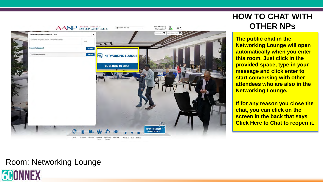

#### **HOW TO CHAT WITH OTHER NPs**

**The public chat in the Networking Lounge will open automatically when you enter this room. Just click in the provided space, type in your message and click enter to start conversing with other attendees who are also in the Networking Lounge.**

**If for any reason you close the chat, you can click on the screen in the back that says Click Here to Chat to reopen it.**

#### Room: Networking Lounge

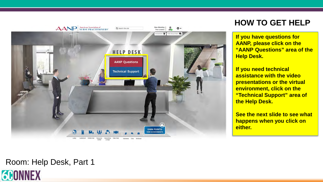

#### **HOW TO GET HELP**

**If you have questions for AANP, please click on the "AANP Questions" area of the Help Desk.**

**If you need technical assistance with the video presentations or the virtual environment, click on the "Technical Support" area of the Help Desk.**

**See the next slide to see what happens when you click on either.**

#### Room: Help Desk, Part 1

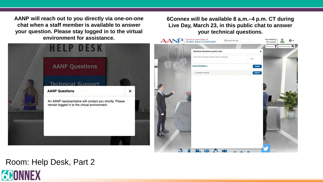**AANP will reach out to you directly via one-on-one chat when a staff member is available to answer your question. Please stay logged in to the virtual environment for assistance.** 



#### **6Connex will be available 8 a.m.–4 p.m. CT during Live Day, March 23, in this public chat to answer your technical questions.**



### Room: Help Desk, Part 2

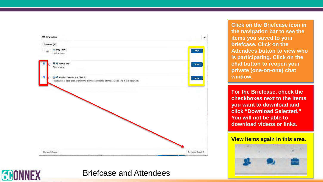

#### Briefcase and Attendees

**GEONNEX** 

**Click on the Briefcase icon in the navigation bar to see the items you saved to your briefcase. Click on the Attendees button to view who is participating. Click on the chat button to reopen your private (one-on-one) chat window.**

**For the Briefcase, check the checkboxes next to the items you want to download and click "Download Selected." You will not be able to download videos or links.**

**View items again in this area.**